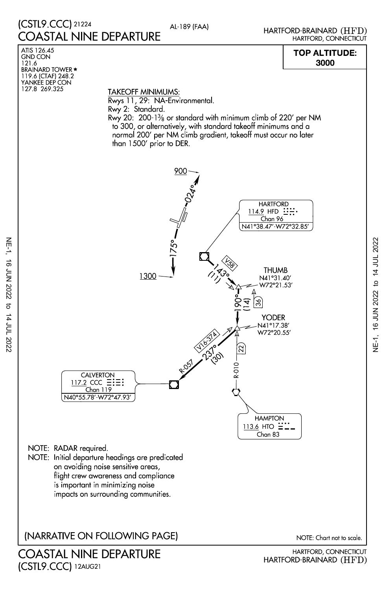## (CSTL9.CCC) 21224 AL-189 (FAA) COASTAL NINE DEPARTURE

HARTFORD, CONNECTICUT HARTFORD-BRAINARD (HFD)

## 3000 TOP ALTITUDE:



HARTFORD, CONNECTICUT HARTFORD-BRAINARD (HFD)

(CSTL9.CCC)12AUG21